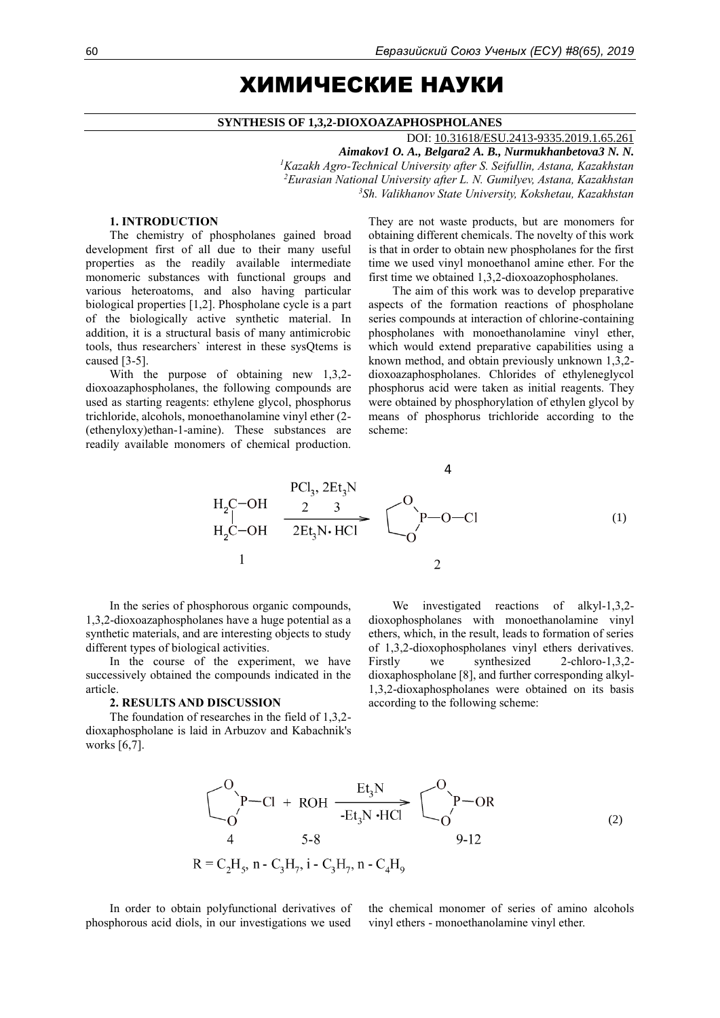# ХИМИЧЕСКИЕ НАУКИ

#### **SYNTHESIS OF 1,3,2-DIOXOAZAPHOSPHOLANES**

DOI: [10.31618/ESU.2413-9335.2019.1.65.261](https://www.doi.org/10.31618/ESU.2413-9335.2019.1.65.261) *Aimakov1 O. A., Belgara2 A. B., Nurmukhanbetova3 N. N. <sup>1</sup>Kazakh Agro-Technical University after S. Seifullin, Astana, Kazakhstan <sup>2</sup>Eurasian National University after L. N. Gumilyev, Astana, Kazakhstan <sup>3</sup>Sh. Valikhanov State University, Kokshetau, Kazakhstan*

## **1. INTRODUCTION**

The chemistry of phospholanes gained broad development first of all due to their many useful properties as the readily available intermediate monomeric substances with functional groups and various heteroatoms, and also having particular biological properties [1,2]. Phospholane cycle is a part of the biologically active synthetic material. In addition, it is a structural basis of many antimicrobic tools, thus researchers` interest in these sysQtems is caused [3-5].

With the purpose of obtaining new 1,3,2 dioxoazaphospholanes, the following compounds are used as starting reagents: ethylene glycol, phosphorus trichloride, alcohols, monoethanolamine vinyl ether (2- (ethenyloxy)ethan-1-amine). These substances are readily available monomers of chemical production. They are not waste products, but are monomers for obtaining different chemicals. The novelty of this work is that in order to obtain new phospholanes for the first time we used vinyl monoethanol amine ether. For the first time we obtained 1,3,2-dioxoazophospholanes.

The aim of this work was to develop preparative aspects of the formation reactions of phospholane series compounds at interaction of chlorine-containing phospholanes with monoethanolamine vinyl ether, which would extend preparative capabilities using a known method, and obtain previously unknown 1,3,2 dioxoazaphospholanes. Chlorides of ethyleneglycol phosphorus acid were taken as initial reagents. They were obtained by phosphorylation of ethylen glycol by means of phosphorus trichloride according to the scheme:

$$
H_2C-OH \xrightarrow{PCl_3, 2Et_3N} C
$$
\n
$$
H_2C-OH \xrightarrow{2 \quad 3 \quad 5} C
$$
\n
$$
H_2C-OH \xrightarrow{2Et_3N \cdot HCl} C
$$
\n
$$
1
$$
\n
$$
1
$$
\n(1)

In the series of phosphorous organic compounds, 1,3,2-dioxoazaphospholanes have a huge potential as a synthetic materials, and are interesting objects to study different types of biological activities.

In the course of the experiment, we have successively obtained the compounds indicated in the article.

#### **2. RESULTS AND DISCUSSION**

The foundation of researches in the field of 1,3,2 dioxaphospholane is laid in Arbuzov and Kabachnik's works [6,7].

We investigated reactions of alkyl-1,3,2 dioxophospholanes with monoethanolamine vinyl ethers, which, in the result, leads to formation of series of 1,3,2-dioxophospholanes vinyl ethers derivatives. Firstly we synthesized 2-chloro-1,3,2 dioxaphospholane [8], and further corresponding alkyl-1,3,2-dioxaphospholanes were obtained on its basis according to the following scheme:

$$
\begin{array}{ccc}\n& & \text{Et}_{3}N & & \text{C}_{1} \\
& & \text{P}-\text{Cl} + \text{ROH} & & \text{Et}_{3}N \cdot \text{HC} \\
& 4 & 5-8 & & 9-12 \\
R = C_{2}H_{5}, n - C_{3}H_{7}, i - C_{3}H_{7}, n - C_{4}H_{9}\n\end{array}
$$
\n(2)

In order to obtain polyfunctional derivatives of phosphorous acid diols, in our investigations we used

the chemical monomer of series of amino alcohols vinyl ethers - monoethanolamine vinyl ether.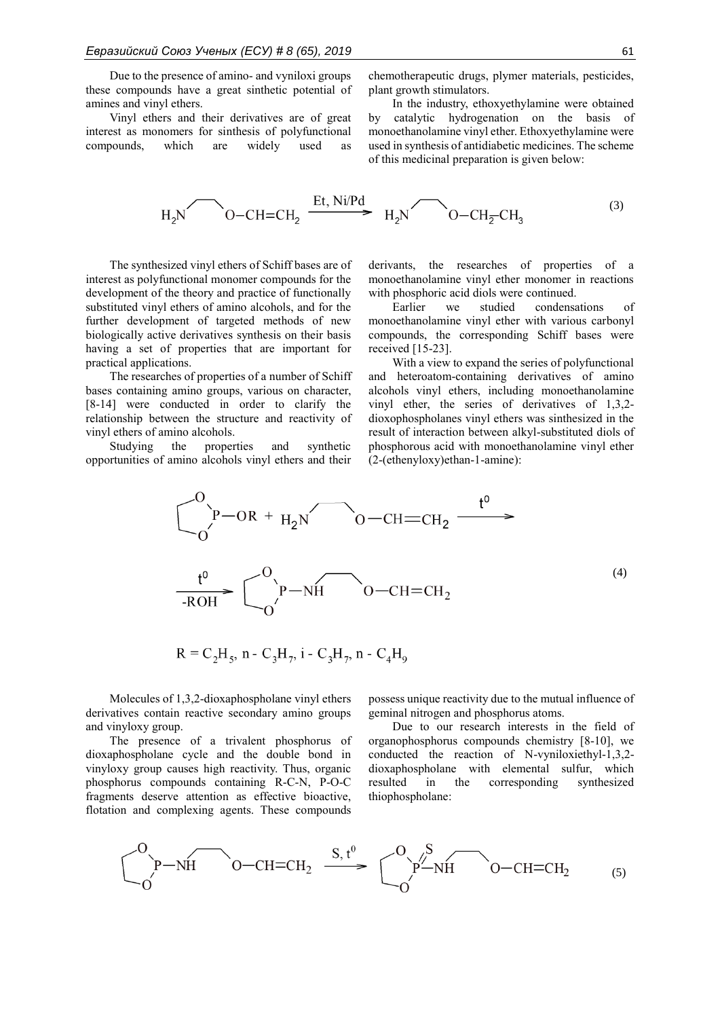Due to the presence of amino- and vyniloxi groups these compounds have a great sinthetic potential of amines and vinyl ethers.

Vinyl ethers and their derivatives are of great interest as monomers for sinthesis of polyfunctional compounds, which are widely used as chemotherapeutic drugs, plymer materials, pesticides, plant growth stimulators.

In the industry, ethoxyethylamine were obtained by catalytic hydrogenation on the basis of monoethanolamine vinyl ether. Ethoxyethylamine were used in synthesis of antidiabetic medicines. The scheme of this medicinal preparation is given below:

$$
H_2N \longrightarrow 0-CH=CH_2 \xrightarrow{Et, Ni/Pd} H_2N \longrightarrow 0-CH_2-CH_3 \tag{3}
$$

The synthesized vinyl ethers of Schiff bases are of interest as polyfunctional monomer compounds for the development of the theory and practice of functionally substituted vinyl ethers of amino alcohols, and for the further development of targeted methods of new biologically active derivatives synthesis on their basis having a set of properties that are important for practical applications.

The researches of properties of a number of Schiff bases containing amino groups, various on character, [8-14] were conducted in order to clarify the relationship between the structure and reactivity of vinyl ethers of amino alcohols.

Studying the properties and synthetic opportunities of amino alcohols vinyl ethers and their

derivants, the researches of properties of a monoethanolamine vinyl ether monomer in reactions with phosphoric acid diols were continued.

Earlier we studied condensations of monoethanolamine vinyl ether with various carbonyl compounds, the corresponding Schiff bases were received [15-23].

With a view to expand the series of polyfunctional and heteroatom-containing derivatives of amino alcohols vinyl ethers, including monoethanolamine vinyl ether, the series of derivatives of 1,3,2 dioxophospholanes vinyl ethers was sinthesized in the result of interaction between alkyl-substituted diols of phosphorous acid with monoethanolamine vinyl ether (2-(ethenyloxy)ethan-1-amine):

$$
C_{0}^{0}P-OR + H_{2}N O-CH=CH_{2} \xrightarrow{t^{0}}
$$
  

$$
C_{0}^{0}P-NH O-CH=CH_{2}
$$
  

$$
C_{0}^{0}P-NH O-CH=CH_{2}
$$
 (4)

$$
R = C_2H_5, n - C_3H_7, i - C_3H_7, n - C_4H_9
$$

Molecules of 1,3,2-dioxaphospholane vinyl ethers derivatives contain reactive secondary amino groups and vinyloxy group.

The presence of a trivalent phosphorus of dioxaphospholane cycle and the double bond in vinyloxy group causes high reactivity. Thus, organic phosphorus compounds containing R-C-N, P-O-C fragments deserve attention as effective bioactive, flotation and complexing agents. These compounds

possess unique reactivity due to the mutual influence of geminal nitrogen and phosphorus atoms.

Due to our research interests in the field of organophosphorus compounds chemistry [8-10], we conducted the reaction of N-vyniloxiethyl-1,3,2 dioxaphospholane with elemental sulfur, which resulted in the corresponding synthesized thiophospholane:

$$
\begin{array}{ccc}\nO & P-NH & O-CH=CH_2 & \xrightarrow{S, t^0} & O\\
O & O & H=CH_2 & \xrightarrow{O} & O\\
O & O & H=CH_2 & \xrightarrow{(5)} & O\end{array}
$$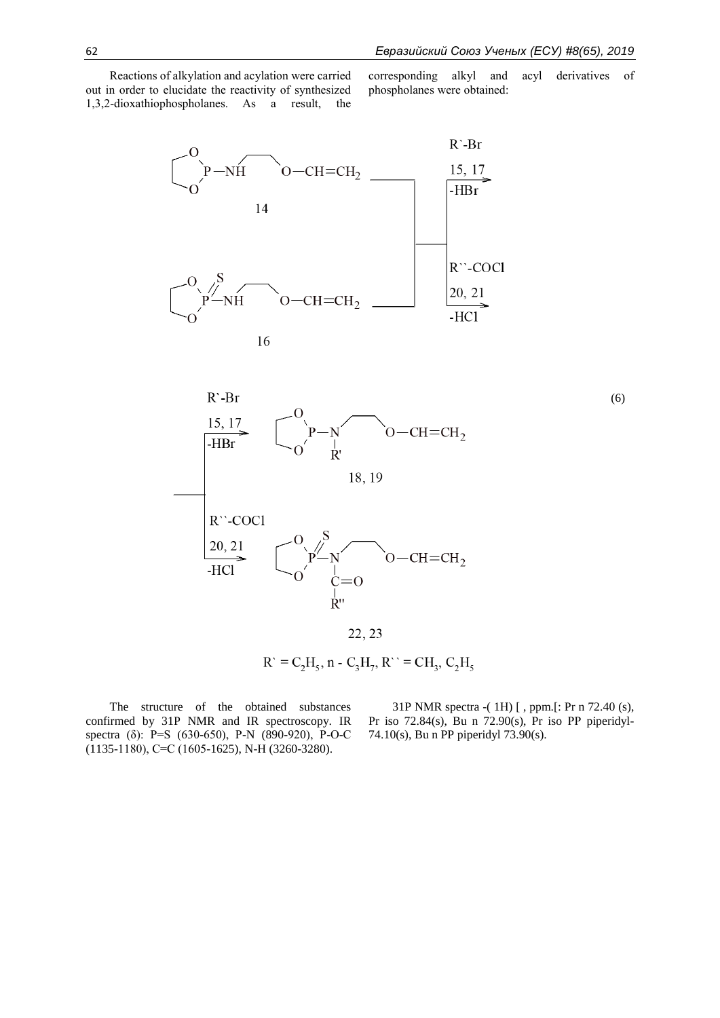Reactions of alkylation and acylation were carried out in order to elucidate the reactivity of synthesized 1,3,2-dioxathiophospholanes. As a result, the corresponding alkyl and acyl derivatives of phospholanes were obtained:





22, 23

 $R' = C_2H_5$ , n -  $C_3H_7$ ,  $R'' = CH_3$ ,  $C_2H_5$ 

The structure of the obtained substances confirmed by 31P NMR and IR spectroscopy. IR spectra (δ): P=S (630-650), P-N (890-920), P-O-C  $(1135-1180)$ , C=C  $(1605-1625)$ , N-H  $(3260-3280)$ .

31P NMR spectra -( 1Н) [ , ppm.[: Pr n 72.40 (s), Pr iso 72.84(s), Bu n 72.90(s), Pr iso РР piperidyl-74.10(s), Bu n PP piperidyl 73.90(s).

(6)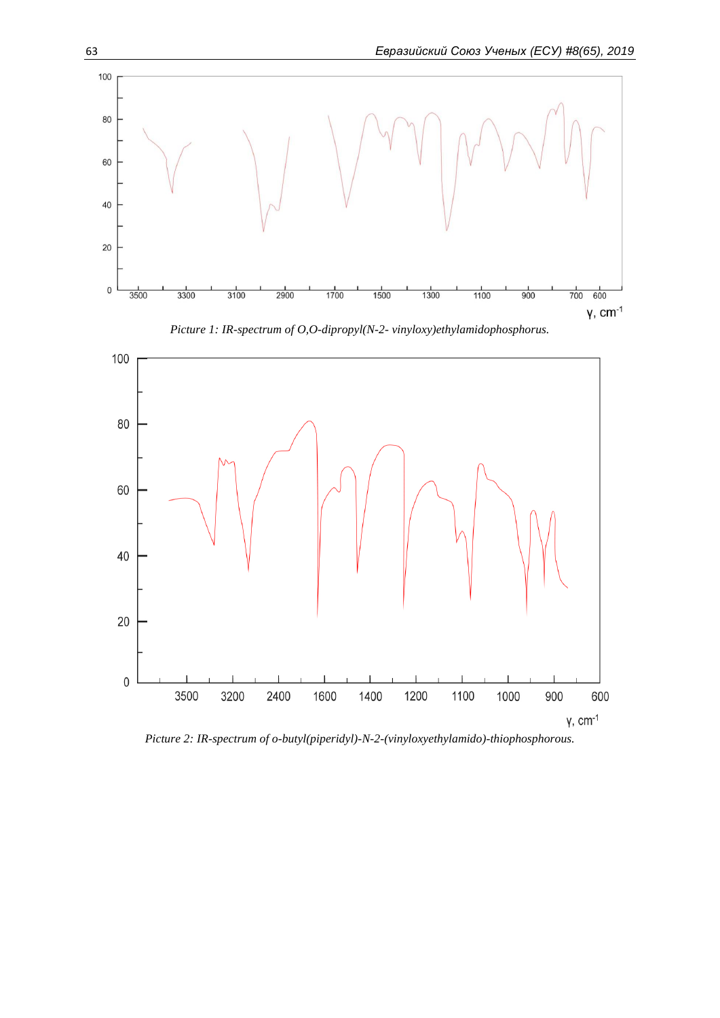

*Picture 2: IR-spectrum of o-butyl(piperidyl)-N-2-(vinyloxyethylamido)-thiophosphorous.*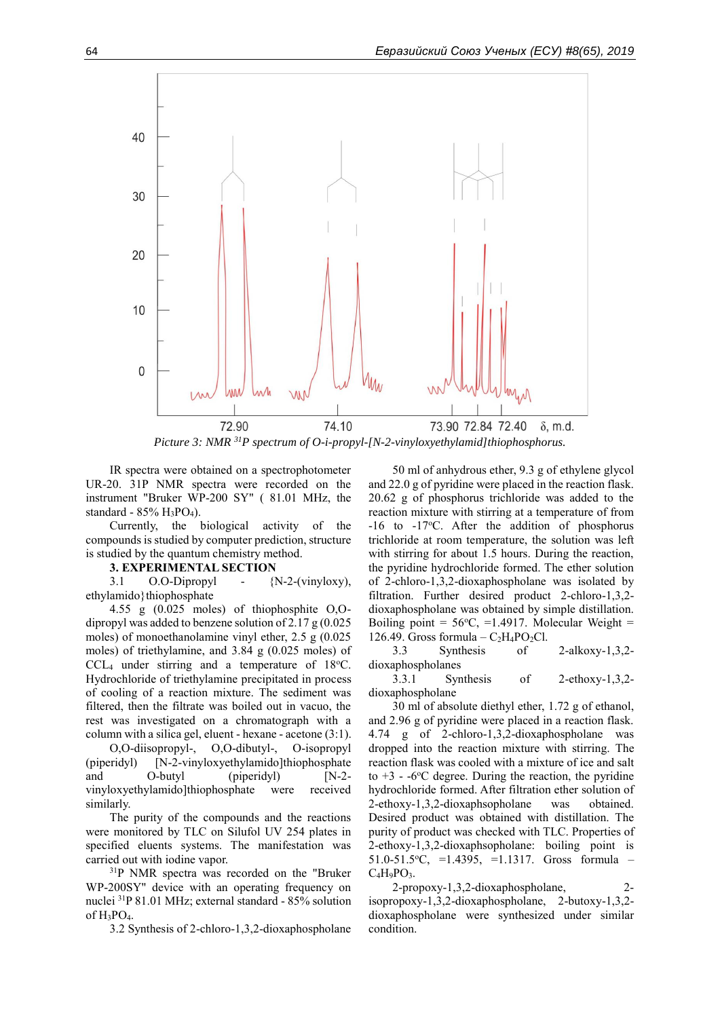

*Picture 3: NMR <sup>31</sup>P spectrum of O-i-propyl-[N-2-vinyloxyethylamid]thiophosphorus.*

IR spectra were obtained on a spectrophotometer UR-20. 31P NMR spectra were recorded on the instrument "Bruker WP-200 SY" ( 81.01 MHz, the standard - 85% H<sub>3</sub>PO<sub>4</sub>).

Currently, the biological activity of the compounds is studied by computer prediction, structure is studied by the quantum chemistry method.

#### **3. EXPERIMENTAL SECTION**

3.1 O.O-Dipropyl - {N-2-(vinyloxy), ethylamido}thiophosphate

4.55 g (0.025 moles) of thiophosphite O,Odipropyl was added to benzene solution of  $2.17 \text{ g} (0.025)$ moles) of monoethanolamine vinyl ether, 2.5 g (0.025 moles) of triethylamine, and 3.84 g (0.025 moles) of  $CCL<sub>4</sub>$  under stirring and a temperature of 18 $°C$ . Hydrochloride of triethylamine precipitated in process of cooling of a reaction mixture. The sediment was filtered, then the filtrate was boiled out in vacuo, the rest was investigated on a chromatograph with a column with a silica gel, eluent - hexane - acetone (3:1). O,O-diisopropyl-, O,O-dibutyl-, O-isopropyl (piperidyl) [N-2-vinyloxyethylamido]thiophosphate

and O-butyl (piperidyl) [N-2vinyloxyethylamido]thiophosphate were received similarly.

The purity of the compounds and the reactions were monitored by TLC on Silufol UV 254 plates in specified eluents systems. The manifestation was carried out with iodine vapor.

<sup>31</sup>P NMR spectra was recorded on the "Bruker WP-200SY" device with an operating frequency on nuclei <sup>31</sup>P 81.01 MHz; external standard - 85% solution of  $H_3PO_4$ .

3.2 Synthesis of 2-chloro-1,3,2-dioxaphospholane

50 ml of anhydrous ether, 9.3 g of ethylene glycol and 22.0 g of pyridine were placed in the reaction flask. 20.62 g of phosphorus trichloride was added to the reaction mixture with stirring at a temperature of from  $-16$  to  $-17$ °C. After the addition of phosphorus trichloride at room temperature, the solution was left with stirring for about 1.5 hours. During the reaction, the pyridine hydrochloride formed. The ether solution of 2-chloro-1,3,2-dioxaphospholane was isolated by filtration. Further desired product 2-chloro-1,3,2 dioxaphospholane was obtained by simple distillation. Boiling point =  $56^{\circ}$ C, =1.4917. Molecular Weight = 126.49. Gross formula –  $C_2H_4PO_2Cl$ .

3.3 Synthesis of 2-alkoxy-1,3,2 dioxaphospholanes

3.3.1 Synthesis of 2-ethoxy-1,3,2 dioxaphospholane

30 ml of absolute diethyl ether, 1.72 g of ethanol, and 2.96 g of pyridine were placed in a reaction flask. 4.74 g of 2-chloro-1,3,2-dioxaphospholane was dropped into the reaction mixture with stirring. The reaction flask was cooled with a mixture of ice and salt to  $+3$  -  $-6$ °C degree. During the reaction, the pyridine hydrochloride formed. After filtration ether solution of 2-ethoxy-1,3,2-dioxaphsopholane was obtained. Desired product was obtained with distillation. The purity of product was checked with TLC. Properties of 2-ethoxy-1,3,2-dioxaphsopholane: boiling point is 51.0-51.5<sup>o</sup>C, =1.4395, =1.1317. Gross formula –  $C_4H_9PO_3.$ 

2-propoxy-1,3,2-dioxaphospholane, 2 isopropoxy-1,3,2-dioxaphospholane, 2-butoxy-1,3,2 dioxaphospholane were synthesized under similar condition.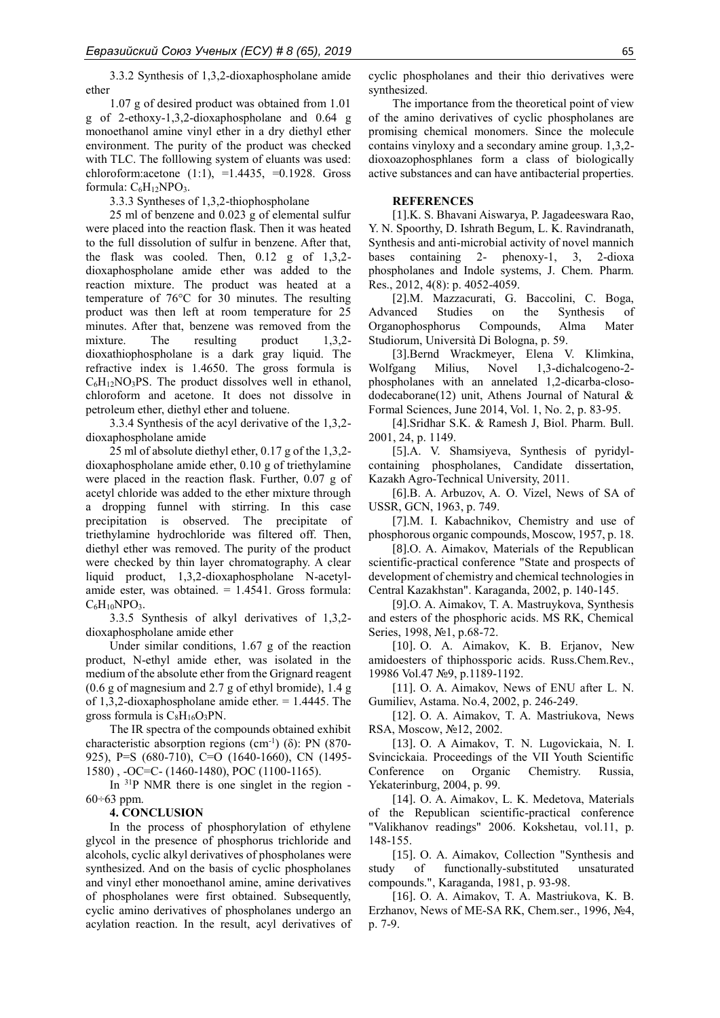3.3.2 Synthesis of 1,3,2-dioxaphospholane amide ether

1.07 g of desired product was obtained from 1.01 g of 2-ethoxy-1,3,2-dioxaphospholane and 0.64 g monoethanol amine vinyl ether in a dry diethyl ether environment. The purity of the product was checked with TLC. The folllowing system of eluants was used: chloroform: acetone  $(1:1)$ ,  $=1.4435$ ,  $=0.1928$ . Gross formula: C<sub>6</sub>H<sub>12</sub>NPO<sub>3</sub>.

3.3.3 Syntheses of 1,3,2-thiophospholane

25 ml of benzene and 0.023 g of elemental sulfur were placed into the reaction flask. Then it was heated to the full dissolution of sulfur in benzene. After that, the flask was cooled. Then, 0.12 g of 1,3,2 dioxaphospholane amide ether was added to the reaction mixture. The product was heated at a temperature of 76°C for 30 minutes. The resulting product was then left at room temperature for 25 minutes. After that, benzene was removed from the mixture. The resulting product 1,3,2dioxathiophospholane is a dark gray liquid. The refractive index is 1.4650. The gross formula is  $C_6H_{12}NO_3PS$ . The product dissolves well in ethanol, chloroform and acetone. It does not dissolve in petroleum ether, diethyl ether and toluene.

3.3.4 Synthesis of the acyl derivative of the 1,3,2 dioxaphospholane amide

25 ml of absolute diethyl ether, 0.17 g of the 1,3,2 dioxaphospholane amide ether, 0.10 g of triethylamine were placed in the reaction flask. Further, 0.07 g of acetyl chloride was added to the ether mixture through a dropping funnel with stirring. In this case precipitation is observed. The precipitate of triethylamine hydrochloride was filtered off. Then, diethyl ether was removed. The purity of the product were checked by thin layer chromatography. A clear liquid product, 1,3,2-dioxaphospholane N-acetylamide ester, was obtained.  $= 1.4541$ . Gross formula:  $C_6H_{10}NPO_3$ .

3.3.5 Synthesis of alkyl derivatives of 1,3,2 dioxaphospholane amide ether

Under similar conditions, 1.67 g of the reaction product, N-ethyl amide ether, was isolated in the medium of the absolute ether from the Grignard reagent (0.6 g of magnesium and 2.7 g of ethyl bromide), 1.4 g of 1,3,2-dioxaphospholane amide ether. = 1.4445. The gross formula is  $C_8H_{16}O_3PN$ .

The IR spectra of the compounds obtained exhibit characteristic absorption regions (cm<sup>-1</sup>) ( $\delta$ ): PN (870-925), P=S (680-710), C=O (1640-1660), CN (1495- 1580) , -OC=C- (1460-1480), POC (1100-1165).

In <sup>31</sup>P NMR there is one singlet in the region - $60\div 63$  ppm.

#### **4. CONCLUSION**

In the process of phosphorylation of ethylene glycol in the presence of phosphorus trichloride and alcohols, cyclic alkyl derivatives of phospholanes were synthesized. And on the basis of cyclic phospholanes and vinyl ether monoethanol amine, amine derivatives of phospholanes were first obtained. Subsequently, cyclic amino derivatives of phospholanes undergo an acylation reaction. In the result, acyl derivatives of

cyclic phospholanes and their thio derivatives were synthesized.

The importance from the theoretical point of view of the amino derivatives of cyclic phospholanes are promising chemical monomers. Since the molecule contains vinyloxy and a secondary amine group. 1,3,2 dioxoazophosphlanes form a class of biologically active substances and can have antibacterial properties.

#### **REFERENCES**

[1].K. S. Bhavani Aiswarya, P. Jagadeeswara Rao, Y. N. Spoorthy, D. Ishrath Begum, L. K. Ravindranath, Synthesis and anti-microbial activity of novel mannich bases containing 2- phenoxy-1, 3, 2-dioxa phospholanes and Indole systems, J. Chem. Pharm. Res., 2012, 4(8): p. 4052-4059.

[2].M. Mazzacurati, G. Baccolini, C. Boga, Advanced Studies on the Synthesis of Organophosphorus Compounds, Alma Mater Studiorum, Università Di Bologna, p. 59.

[3].Bernd Wrackmeyer, Elena V. Klimkina, Wolfgang Milius, Novel 1,3-dichalcogeno-2 phospholanes with an annelated 1,2-dicarba-closododecaborane(12) unit, Athens Journal of Natural & Formal Sciences, June 2014, Vol. 1, No. 2, p. 83-95.

[4].Sridhar S.K. & Ramesh J, Biol. Pharm. Bull. 2001, 24, p. 1149.

[5].A. V. Shamsiyeva, Synthesis of pyridylcontaining phospholanes, Candidate dissertation, Kazakh Agro-Technical University, 2011.

[6].B. A. Arbuzov, A. O. Vizel, News of SA of USSR, GCN, 1963, p. 749.

[7].M. I. Kabachnikov, Chemistry and use of phosphorous organic compounds, Moscow, 1957, p. 18.

[8].O. A. Aimakov, Materials of the Republican scientific-practical conference "State and prospects of development of chemistry and chemical technologies in Central Kazakhstan". Karaganda, 2002, p. 140-145.

[9].O. A. Aimakov, T. A. Mastruykova, Synthesis and esters of the phosphoric acids. MS RK, Chemical Series, 1998, №1, p.68-72.

[10]. O. A. Aimakov, K. B. Erjanov, New amidoesters of thiphossporic acids. Russ.Chem.Rev., 19986 Vol.47 №9, p.1189-1192.

[11]. O. A. Aimakov, News of ENU after L. N. Gumiliev, Astama. No.4, 2002, p. 246-249.

[12]. O. A. Aimakov, T. A. Mastriukova, News RSA, Moscow, №12, 2002.

[13]. O. A Aimakov, T. N. Lugovickaia, N. I. Svincickaia. Proceedings of the VII Youth Scientific Conference on Organic Chemistry. Russia, Yekaterinburg, 2004, p. 99.

[14]. O. A. Aimakov, L. K. Medetova, Materials of the Republican scientific-practical conference "Valikhanov readings" 2006. Kokshetau, vol.11, p. 148-155.

[15]. O. A. Aimakov, Collection "Synthesis and study of functionally-substituted unsaturated compounds.", Karaganda, 1981, p. 93-98.

[16]. O. A. Aimakov, T. A. Mastriukova, K. B. Erzhanov, News of ME-SA RK, Chem.ser., 1996, №4, p. 7-9.